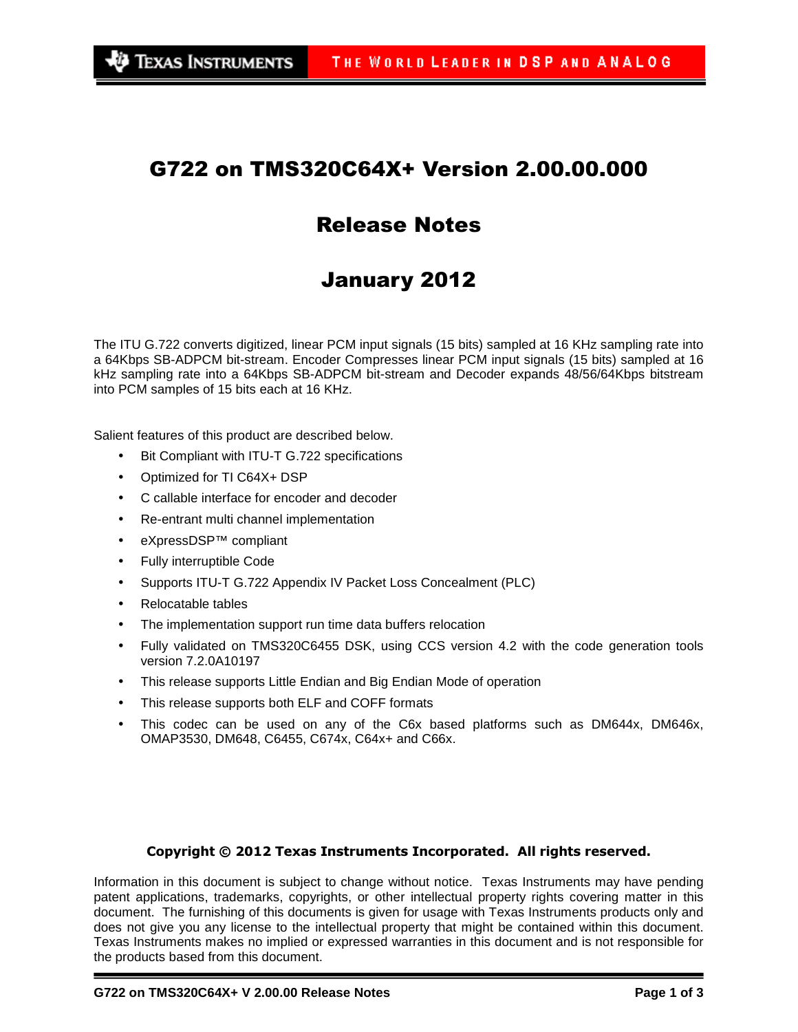# G722 on TMS320C64X+ Version 2.00.00.000

# Release Notes

# January 2012

The ITU G.722 converts digitized, linear PCM input signals (15 bits) sampled at 16 KHz sampling rate into a 64Kbps SB-ADPCM bit-stream. Encoder Compresses linear PCM input signals (15 bits) sampled at 16 kHz sampling rate into a 64Kbps SB-ADPCM bit-stream and Decoder expands 48/56/64Kbps bitstream into PCM samples of 15 bits each at 16 KHz.

Salient features of this product are described below.

- Bit Compliant with ITU-T G.722 specifications
- Optimized for TI C64X+ DSP
- C callable interface for encoder and decoder
- Re-entrant multi channel implementation
- eXpressDSP™ compliant
- Fully interruptible Code
- Supports ITU-T G.722 Appendix IV Packet Loss Concealment (PLC)
- Relocatable tables
- The implementation support run time data buffers relocation
- Fully validated on TMS320C6455 DSK, using CCS version 4.2 with the code generation tools version 7.2.0A10197
- This release supports Little Endian and Big Endian Mode of operation
- This release supports both ELF and COFF formats
- This codec can be used on any of the C6x based platforms such as DM644x, DM646x, OMAP3530, DM648, C6455, C674x, C64x+ and C66x.

#### Copyright © 2012 Texas Instruments Incorporated. All rights reserved.

Information in this document is subject to change without notice. Texas Instruments may have pending patent applications, trademarks, copyrights, or other intellectual property rights covering matter in this document. The furnishing of this documents is given for usage with Texas Instruments products only and does not give you any license to the intellectual property that might be contained within this document. Texas Instruments makes no implied or expressed warranties in this document and is not responsible for the products based from this document.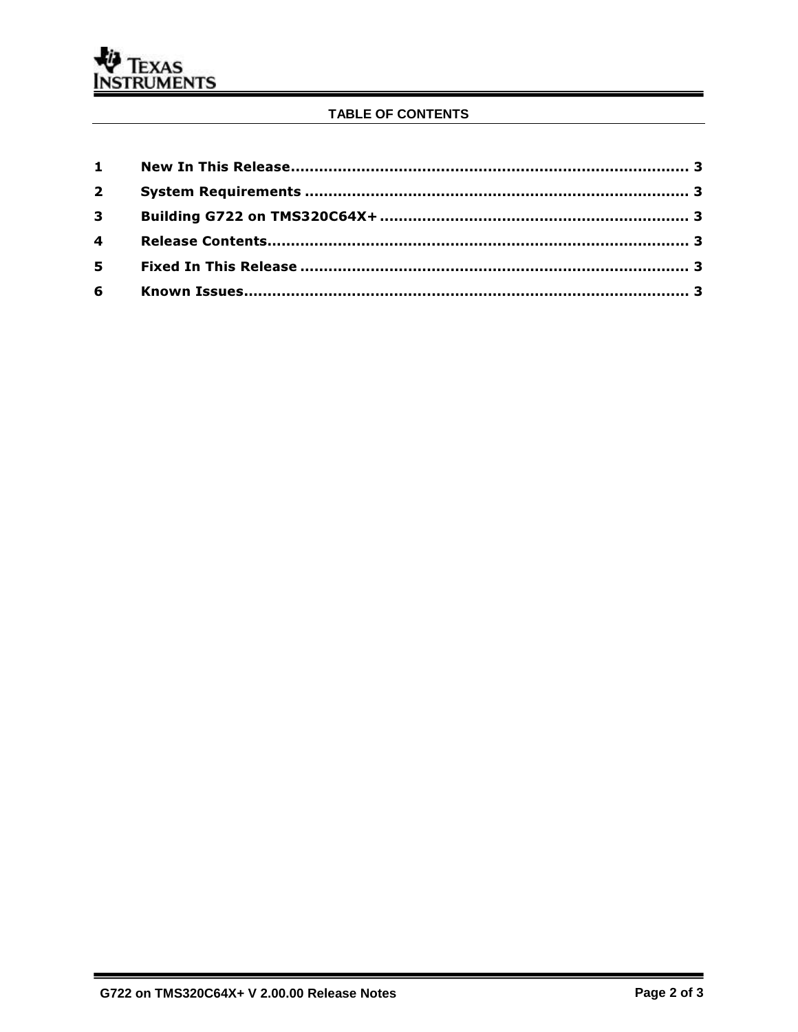### TABLE OF CONTENTS